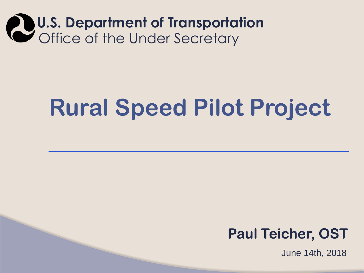### **U.S. Department of Transportation**  Office of the Under Secretary

## **Rural Speed Pilot Project**

### **Paul Teicher, OST**

June 14th, 2018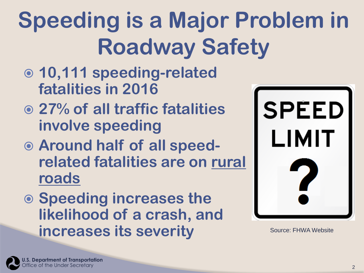# **Speeding is a Major Problem in Roadway Safety**

- **10,111 speeding-related fatalities in 2016**
- **27% of all traffic fatalities involve speeding**
- **Around half of all speedrelated fatalities are on rural roads**
- **Speeding increases the likelihood of a crash, and increases its severity**



Source: FHWA Website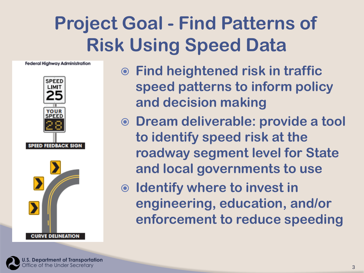## **Project Goal - Find Patterns of Risk Using Speed Data**







- **Find heightened risk in traffic speed patterns to inform policy and decision making**
- **Dream deliverable: provide a tool to identify speed risk at the roadway segment level for State and local governments to use**
- **Identify where to invest in engineering, education, and/or enforcement to reduce speeding**



**U.S. Department of Transportation**  ffice of the Under Secretary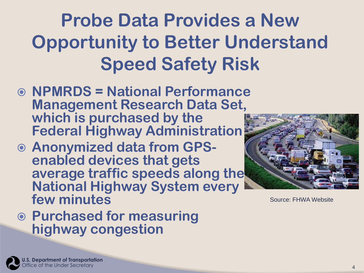## **Probe Data Provides a New Opportunity to Better Understand Speed Safety Risk**

- **NPMRDS = National Performance Management Research Data Set, which is purchased by the Federal Highway Administration**
- **Anonymized data from GPSenabled devices that gets average traffic speeds along the National Highway System every few minutes**





Source: FHWA Website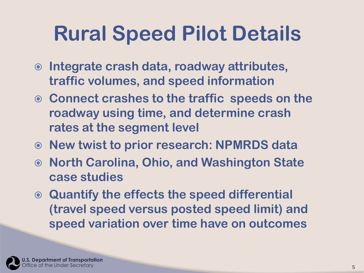## **Rural Speed Pilot Details**

- **Integrate crash data, roadway attributes, traffic volumes, and speed information**
- **Connect crashes to the traffic speeds on the roadway using time, and determine crash rates at the segment level**
- **New twist to prior research: NPMRDS data**
- **North Carolina, Ohio, and Washington State case studies**
- **Quantify the effects the speed differential (travel speed versus posted speed limit) and speed variation over time have on outcomes**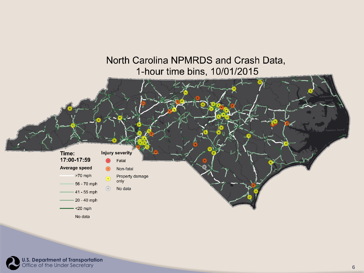#### North Carolina NPMRDS and Crash Data, 1-hour time bins, 10/01/2015

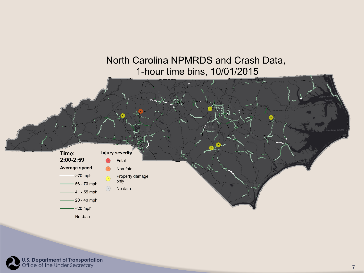#### North Carolina NPMRDS and Crash Data, 1-hour time bins, 10/01/2015



**U.S. Department of Transportation**  Office of the Under Secretary